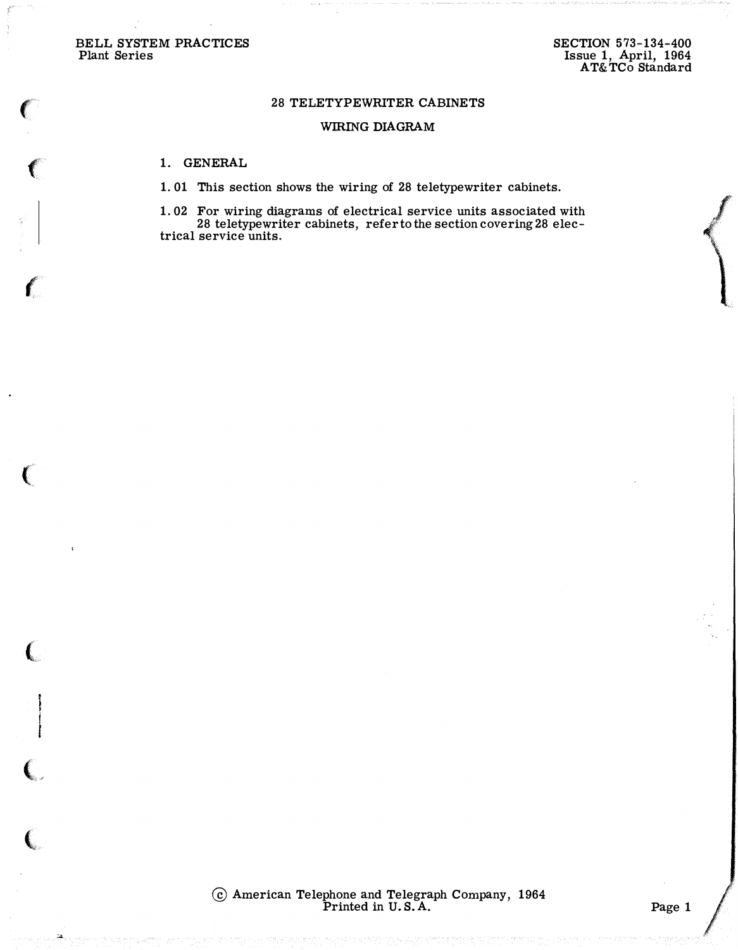BELL SYSTEM PRACTICES Plant Series

 $\epsilon$ 

 $\left($ 

 $\ell$ 

 $\left(\rule{-2pt}{10pt}\right.$ 

 $\left(\rule{0pt}{10pt}\right.$ 

 $\overline{\mathbb{C}}$ 

 $\big($ 

. 24

## 28 TELETYPEWRITER CABINETS

### WIRING DIAGRAM

### 1. GENERAL

1. 01 This section shows the wiring of 28 teletypewriter cabinets.

1. 02 For wiring diagrams of electrical service units associated with 28 teletypewriter cabinets, refer to the section covering 28 electrical service units.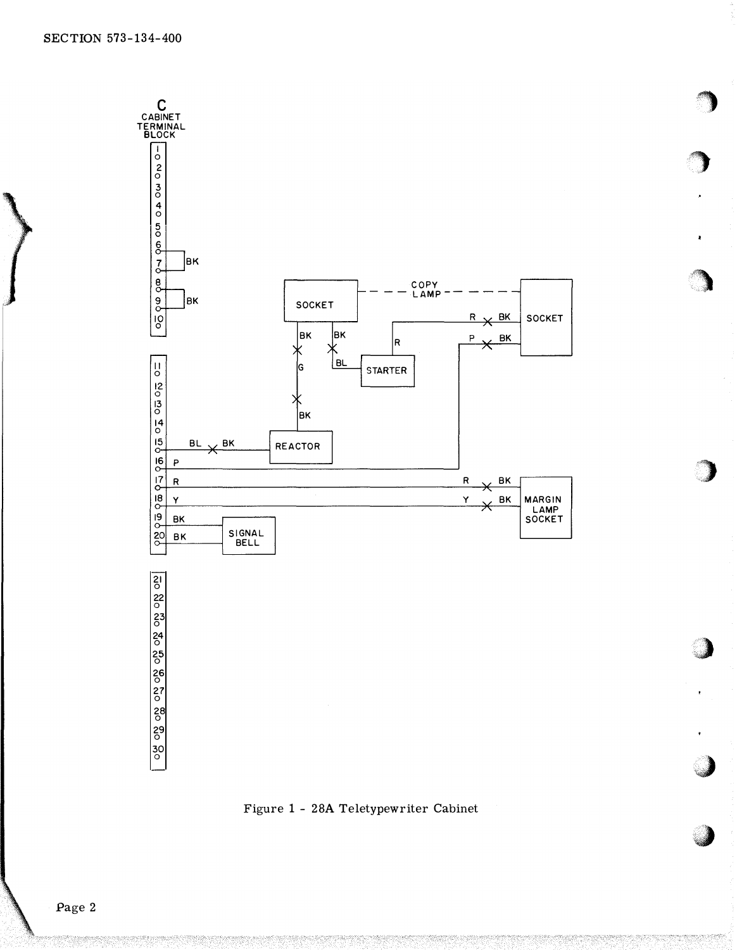

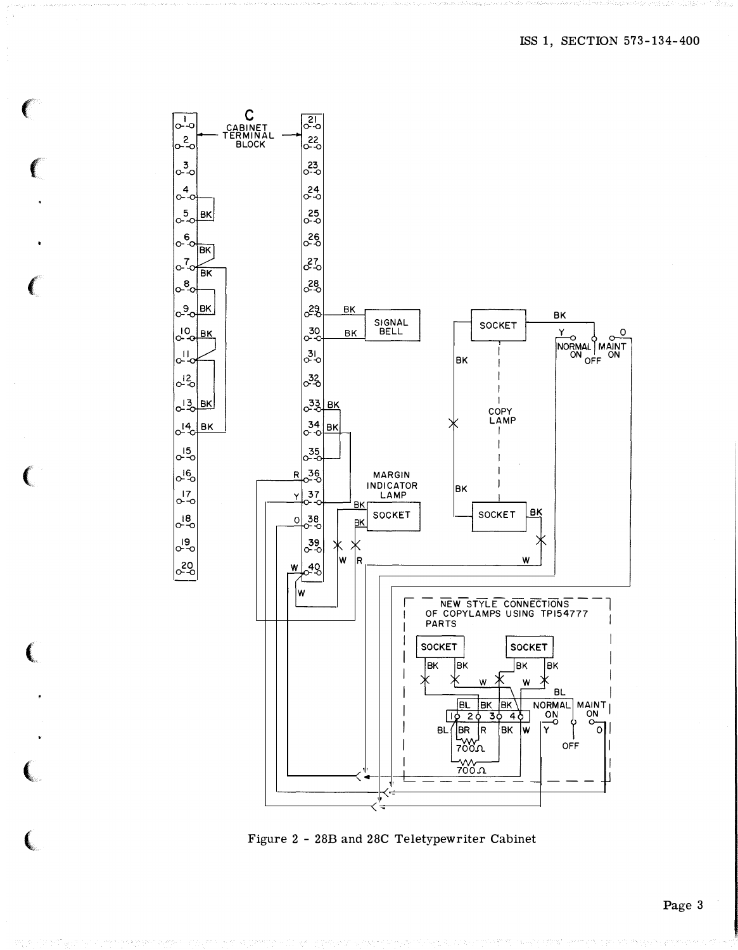$\circ$ 

C<br>CABINET<br>TERMINAL<br>BLOCK  $\frac{21}{9}$ ౣ  $6^{23}$ 24<br>0-0  $25$ **BK**  $\overline{\circ}^{\epsilon}_{\alpha}$ -36 **BK** 27  $\sigma^7$ **BK** ෫ී °°<sup>o</sup> ek 85  $BK$ BK SIGNAL<br>BELL SOCKET LIO BK  $30$ BK Y  $\circ$  $\Omega$ NORMAL MAINT 31<br>0-0 **BK** ್ಯಿತ್ಯ  $6^{12}$ J ౹౽౸౹౾౺ <u><sub>о</sub>зз| вк</u> - 1 COPY LAMP  $\int_{0}^{14}$ BK | 34<br>|0-0 **BK** J  $25$  $\sigma_{-0}^{15}$  $\circ^{16}$ 36<br>0-0 R **MARGIN INDICATOR BK**  $\frac{37}{2}$  $\frac{17}{0}$ -0 LAMP BK BK SOCKET SOCKET  $\sigma_{\rm c}^{18}$ 38<br>0-0  $\circ$ BK  $\sigma_{\rm p}$  $\frac{39}{00}$ W İR W  $620$  $648$ W W WEW STYLE CONNECTIONS -**PARTS** SOCKET **SOCKET** |BK |BK lвĸ |BK 氺 Ж W W **BL** BL BK BK NORMAL MAINT  $\overline{\mathsf{y}}$ BK.  $BL/IBR$  R ١w  $\circ$  $\frac{1}{2000}$ OFF —<br>200 π

€

 $\left($ 

 $\left($ 

 $\left($ 

 $\overline{\bigcup_{\mathsf{O}}\mathsf{L}_{\mathsf{O}}}$ 

0-20

 $\sigma^3$ 

 $6^{4}$ 

 $\sigma_{0}^{5}$ 

 $\sigma_{\rm c}^{\rm g}$ 

 $L_{\rm c}$ 

Figure 2 - 28B and 28C Teletypewriter Cabinet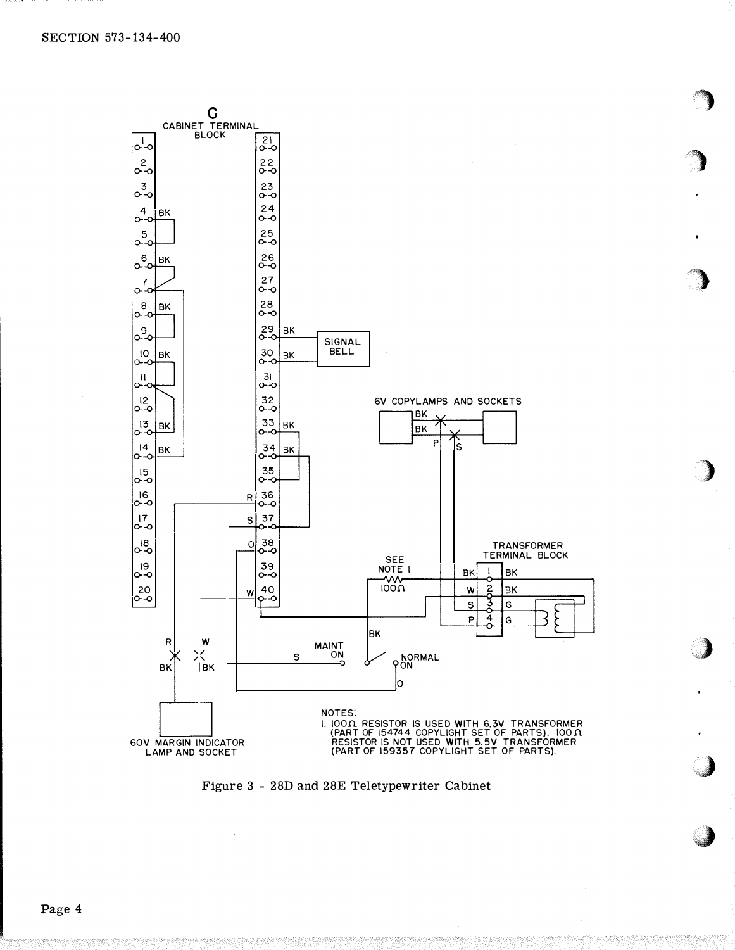

Figure 3 - 28D and 28E Teletypewriter Cabinet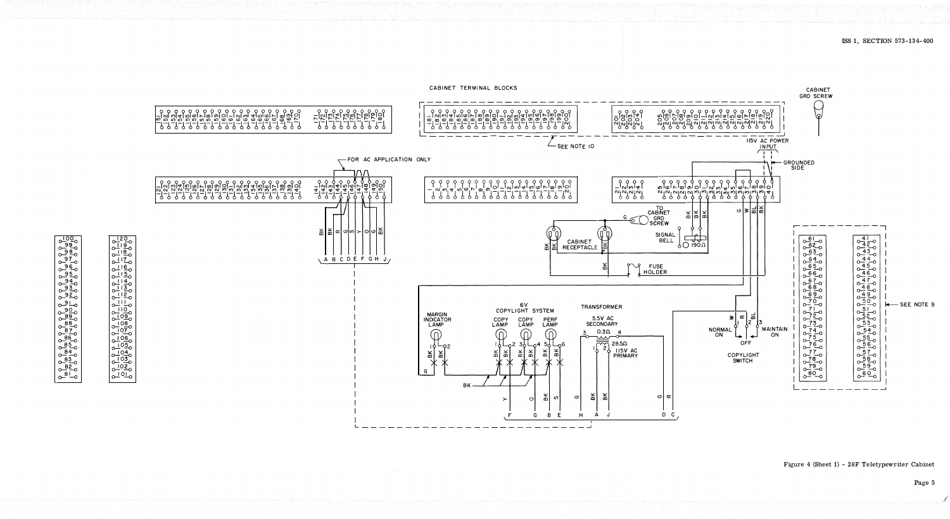



Figure 4 (Sheet 1) - 28F Teletypewriter Cabinet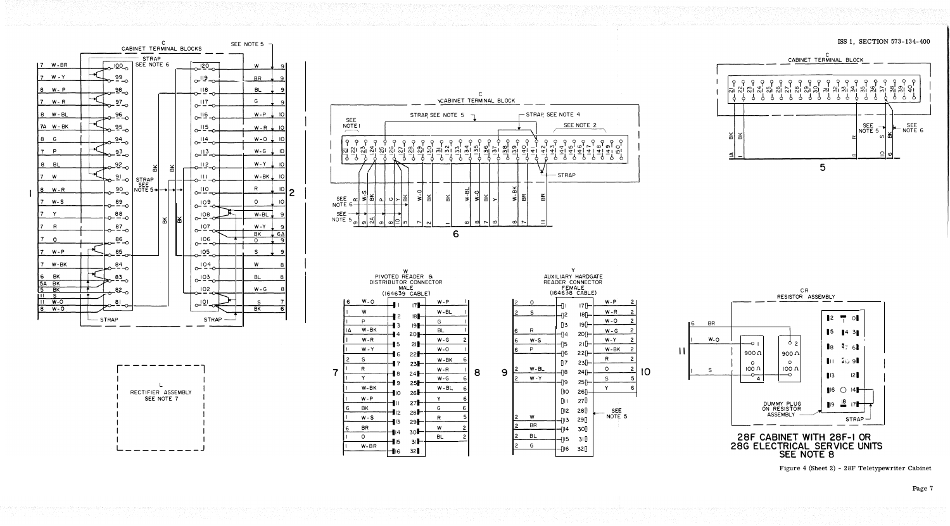











ISS 1, SECTION 573-134-400







Figure 4 (Sheet 2) - 28F Teletypewriter Cabinet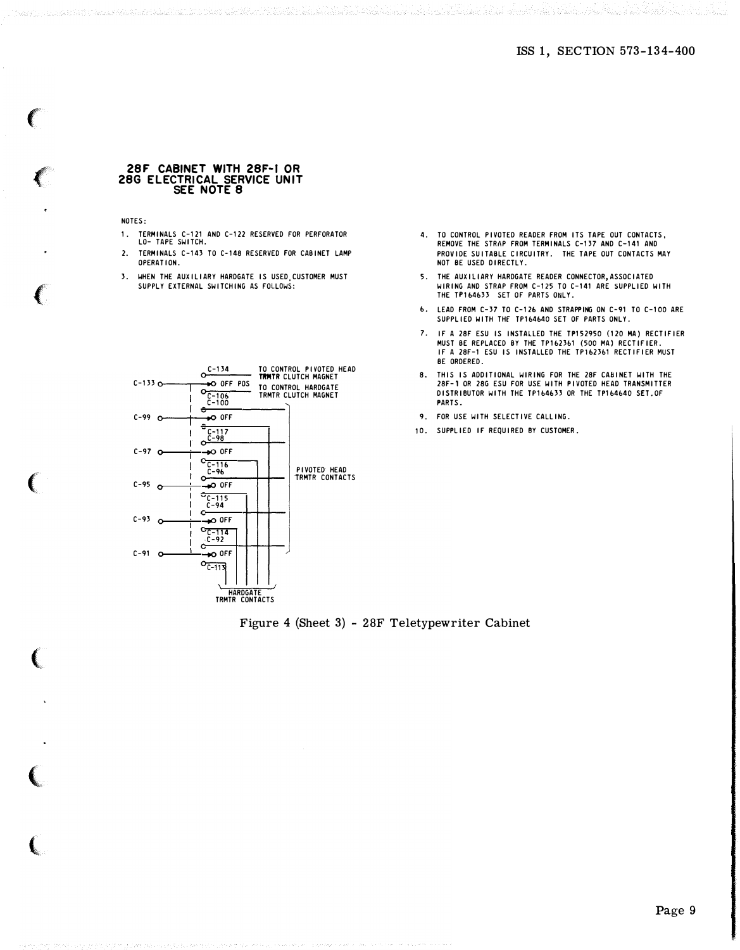Walio Aleksandr

#### 28F CABINET WITH 28F-t OR 28G ELECTRICAL SERVICE UNIT SEE NOTE 8

NOTES:

 $\mathbf{C}$ 

 $\epsilon$ 

 $\mathbb{C}$ 

 $\big($ 

1. TERMINALS C-121 AND C-122 RESERVED FOR PERFORATOR LO- TAPE SWITCH.

المعاد أماما والمناسك والمنادر والمستحقة والمستقار والمتعارب المتعارف والمتحال والمستحدث والمستحقان والمتحدث والمستحدر

- 2. TERMINALS C-143 TO C-148 RESERVED FOR CABINET LAMP OPERATION.
- 3. WHEN THE AUXILIARY HARDGATE IS USED,CUSTOMER MUST SUPPLY EXTERNAL SWITCHING AS FOLLOWS:



- 4. TO CONTROL PIVOTED READER FROM ITS TAPE OUT CONTACTS, REMOVE THE STRAP FROM TERMINALS C-137 AND C-141 AND PROVIDE SUITABLE CIRCUITRY. THE TAPE OUT CONTACTS MAY NOT BE USED DIRECTLY.
- 5. THE AUXILIARY HARDGATE READER CONNECTOR,ASSOCIATED WIRING AND STRAP FROM C-125 TO C-141 ARE SUPPLIED WITH THE TP164633 SET OF PARTS ONLY.
- b. LEAD FROM C-37 TO C-126 AND STRAPPING ON C-91 TO C-100 ARE SUPPLIED WITH THE TP164640 SET OF PARTS ONLY.
- 7. IF A 28F ESU IS INSTALLED THE TP152950 (120 MA) RECTIFIER MUST BE REPLACED BY THE TP1b23b1 (500 MA) RECTIFIER. If A 28f-1 ESU IS INSTALLED THE TP1b23b1 RECTIFIER MUST BE ORDERED.
- 8. THIS IS ADDITIONAL WIRING FOR THE 28f CABINET WITH THE 28f-1 OR 28G ESU FOR USE WITH PIVOTED HEAD TRANSMITTER DISTRIBUTOR WITH THE TP164633 OR THE TP164640 SET.OF PARTS.
- 9. FOR USE WITH SELECTIVE CALLING.
- 10. SUPPLIED If REQUIRED BY CUSTOMER.

Figure 4 (Sheet 3) - 28F Teletypewriter Cabinet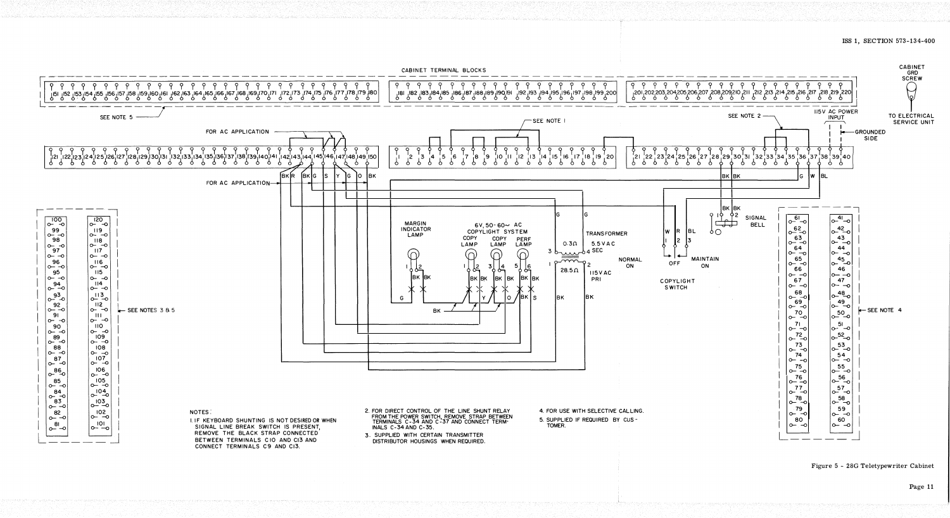

Figure 5 - 28G Teletypewriter Cabinet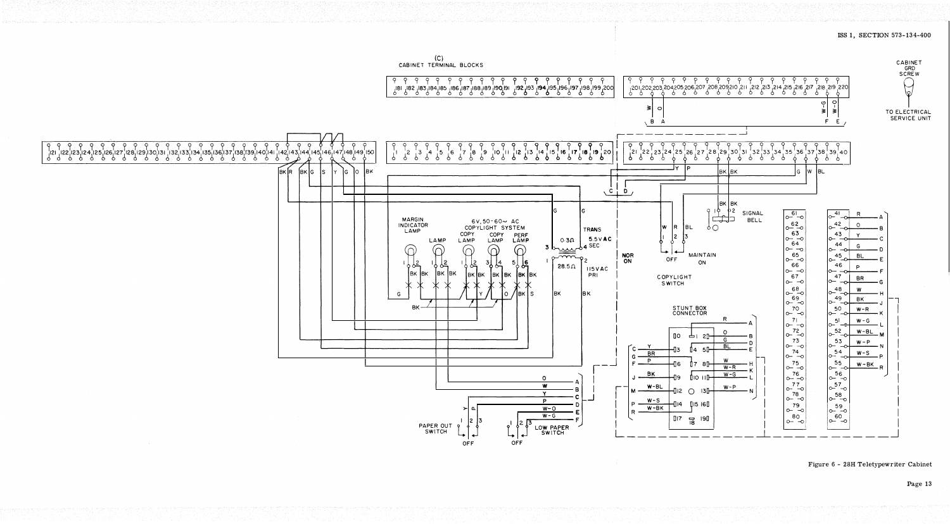

 $(C)$ CABINET TERMINAL BLOCKS

# ISS 1, SECTION 573-134-400

# Figure 6 - 28H Teletypewriter Cabinet

Page 13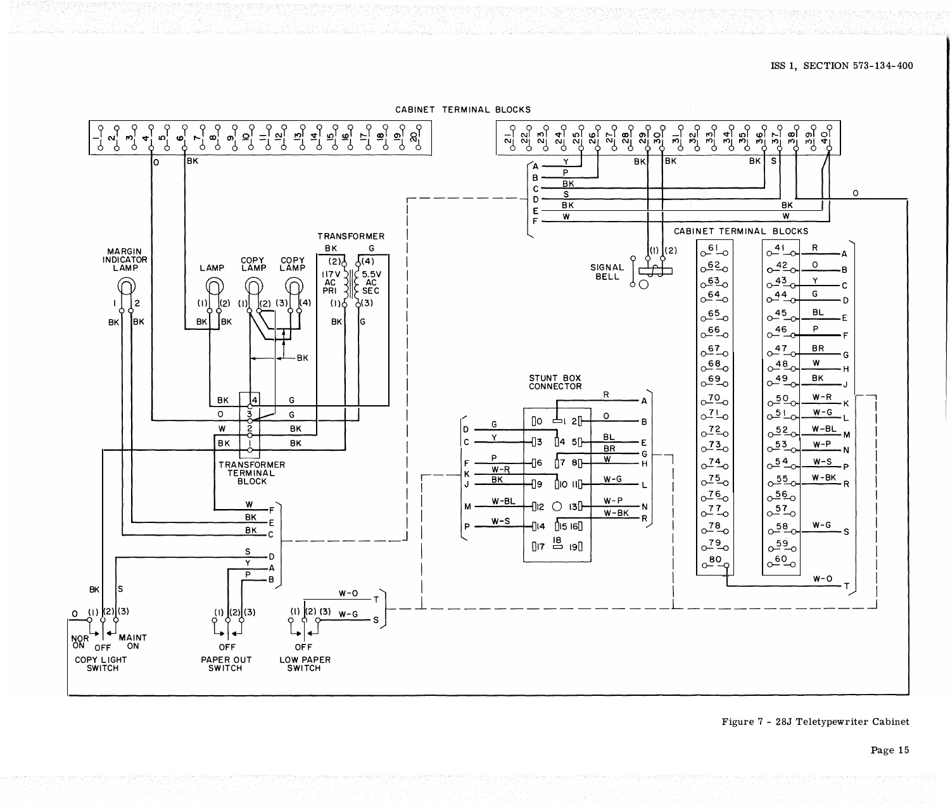

CABINET TERMINAL BLOCKS

Figure 7 - 28J Teletypewriter Cabinet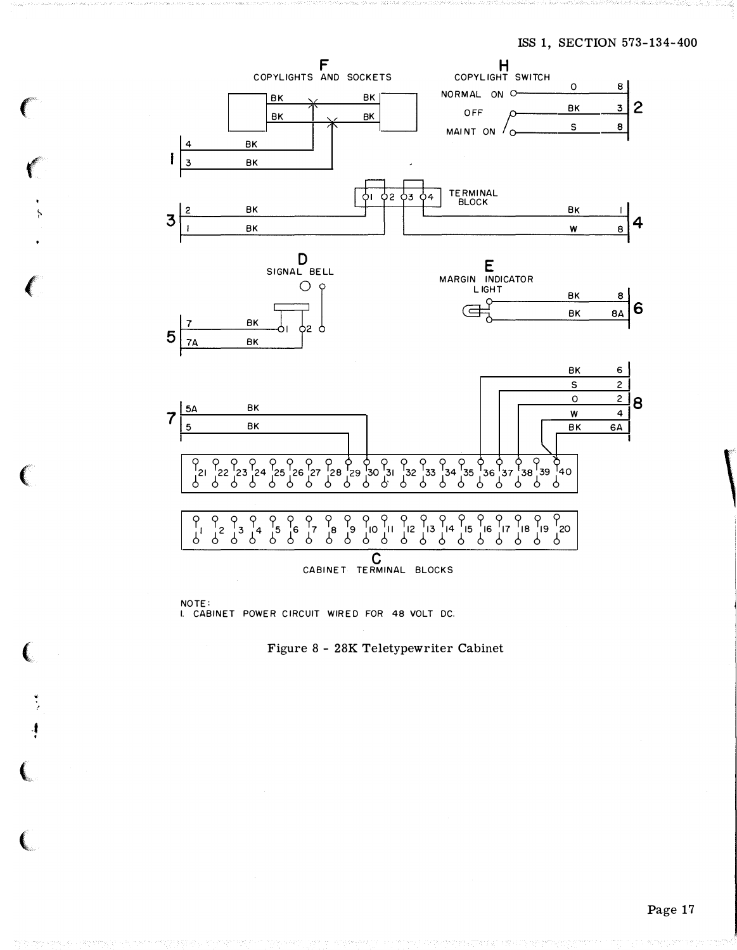

NOTE: I. CABINET POWER CIRCUIT WIRED FOR 48 VOLT DC.

 $\ell$ 

 $\frac{1}{2}$ 

 $\left($ 

 $\big($ 

t •



 $\overline{\phantom{0}}$